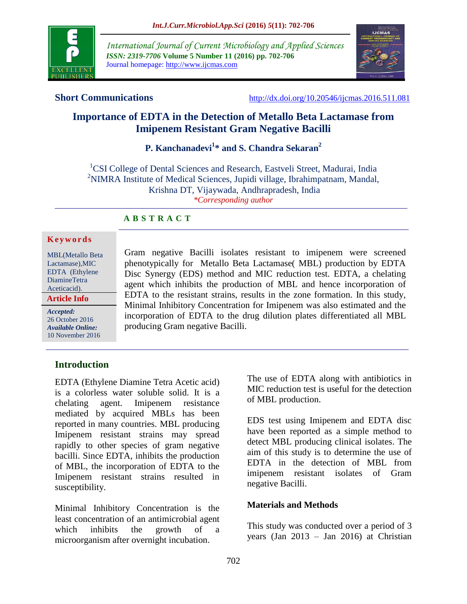

*International Journal of Current Microbiology and Applied Sciences ISSN: 2319-7706* **Volume 5 Number 11 (2016) pp. 702-706** Journal homepage: http://www.ijcmas.com



**Short Communications** <http://dx.doi.org/10.20546/ijcmas.2016.511.081>

# **Importance of EDTA in the Detection of Metallo Beta Lactamase from Imipenem Resistant Gram Negative Bacilli**

# **P. Kanchanadevi<sup>1</sup> \* and S. Chandra Sekaran<sup>2</sup>**

<sup>1</sup>CSI College of Dental Sciences and Research, Eastveli Street, Madurai, India <sup>2</sup>NIMRA Institute of Medical Sciences, Jupidi village, Ibrahimpatnam, Mandal, Krishna DT, Vijaywada, Andhrapradesh, India *\*Corresponding author*

## **A B S T R A C T**

#### **K e y w o r d s**

MBL(Metallo Beta Lactamase),MIC EDTA (Ethylene DiamineTetra Aceticacid).

**Article Info**

*Accepted:*  26 October 2016 *Available Online:* 10 November 2016 Gram negative Bacilli isolates resistant to imipenem were screened phenotypically for Metallo Beta Lactamase( MBL) production by EDTA Disc Synergy (EDS) method and MIC reduction test. EDTA, a chelating agent which inhibits the production of MBL and hence incorporation of EDTA to the resistant strains, results in the zone formation. In this study, Minimal Inhibitory Concentration for Imipenem was also estimated and the incorporation of EDTA to the drug dilution plates differentiated all MBL producing Gram negative Bacilli.

# **Introduction**

EDTA (Ethylene Diamine Tetra Acetic acid) is a colorless water soluble solid. It is a chelating agent. Imipenem resistance mediated by acquired MBLs has been reported in many countries. MBL producing Imipenem resistant strains may spread rapidly to other species of gram negative bacilli. Since EDTA, inhibits the production of MBL, the incorporation of EDTA to the Imipenem resistant strains resulted in susceptibility.

Minimal Inhibitory Concentration is the least concentration of an antimicrobial agent which inhibits the growth of a microorganism after overnight incubation.

The use of EDTA along with antibiotics in MIC reduction test is useful for the detection of MBL production.

EDS test using Imipenem and EDTA disc have been reported as a simple method to detect MBL producing clinical isolates. The aim of this study is to determine the use of EDTA in the detection of MBL from imipenem resistant isolates of Gram negative Bacilli.

### **Materials and Methods**

This study was conducted over a period of 3 years (Jan 2013 – Jan 2016) at Christian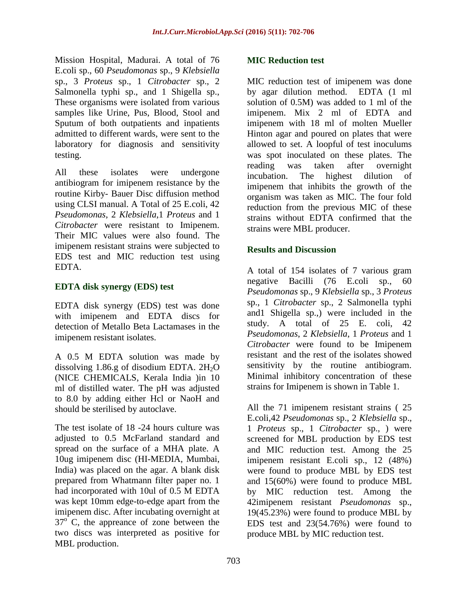Mission Hospital, Madurai. A total of 76 E.coli sp., 60 *Pseudomonas* sp., 9 *Klebsiella* sp., 3 *Proteus* sp., 1 *Citrobacter* sp., 2 Salmonella typhi sp., and 1 Shigella sp., These organisms were isolated from various samples like Urine, Pus, Blood, Stool and Sputum of both outpatients and inpatients admitted to different wards, were sent to the laboratory for diagnosis and sensitivity testing.

All these isolates were undergone antibiogram for imipenem resistance by the routine Kirby- Bauer Disc diffusion method using CLSI manual. A Total of 25 E.coli, 42 *Pseudomonas*, 2 *Klebsiella*,1 *Proteus* and 1 *Citrobacter* were resistant to Imipenem. Their MIC values were also found. The imipenem resistant strains were subjected to EDS test and MIC reduction test using EDTA.

# **EDTA disk synergy (EDS) test**

EDTA disk synergy (EDS) test was done with imipenem and EDTA discs for detection of Metallo Beta Lactamases in the imipenem resistant isolates.

A 0.5 M EDTA solution was made by dissolving 1.86.g of disodium EDTA.  $2H<sub>2</sub>O$ (NICE CHEMICALS, Kerala India )in 10 ml of distilled water. The pH was adjusted to 8.0 by adding either Hcl or NaoH and should be sterilised by autoclave.

The test isolate of 18 -24 hours culture was adjusted to 0.5 McFarland standard and spread on the surface of a MHA plate. A 10ug imipenem disc (HI-MEDIA, Mumbai, India) was placed on the agar. A blank disk prepared from Whatmann filter paper no. 1 had incorporated with 10ul of 0.5 M EDTA was kept 10mm edge-to-edge apart from the imipenem disc. After incubating overnight at  $37^\circ$  C, the appreance of zone between the two discs was interpreted as positive for MBL production.

# **MIC Reduction test**

MIC reduction test of imipenem was done by agar dilution method. EDTA (1 ml solution of 0.5M) was added to 1 ml of the imipenem. Mix 2 ml of EDTA and imipenem with 18 ml of molten Mueller Hinton agar and poured on plates that were allowed to set. A loopful of test inoculums was spot inoculated on these plates. The reading was taken after overnight incubation. The highest dilution of imipenem that inhibits the growth of the organism was taken as MIC. The four fold reduction from the previous MIC of these strains without EDTA confirmed that the strains were MBL producer.

# **Results and Discussion**

A total of 154 isolates of 7 various gram negative Bacilli (76 E.coli sp., 60 *Pseudomonas* sp., 9 *Klebsiella* sp., 3 *Proteus* sp., 1 *Citrobacter* sp., 2 Salmonella typhi and1 Shigella sp.,) were included in the study. A total of 25 E. coli, 42 *Pseudomonas*, 2 *Klebsiella*, 1 *Proteus* and 1 *Citrobacter* were found to be Imipenem resistant and the rest of the isolates showed sensitivity by the routine antibiogram. Minimal inhibitory concentration of these strains for Imipenem is shown in Table 1.

All the 71 imipenem resistant strains ( 25 E.coli,42 *Pseudomonas* sp., 2 *Klebsiella* sp., 1 *Proteus* sp., 1 *Citrobacter* sp., ) were screened for MBL production by EDS test and MIC reduction test. Among the 25 imipenem resistant E.coli sp., 12 (48%) were found to produce MBL by EDS test and 15(60%) were found to produce MBL by MIC reduction test. Among the 42imipenem resistant *Pseudomonas* sp., 19(45.23%) were found to produce MBL by EDS test and 23(54.76%) were found to produce MBL by MIC reduction test.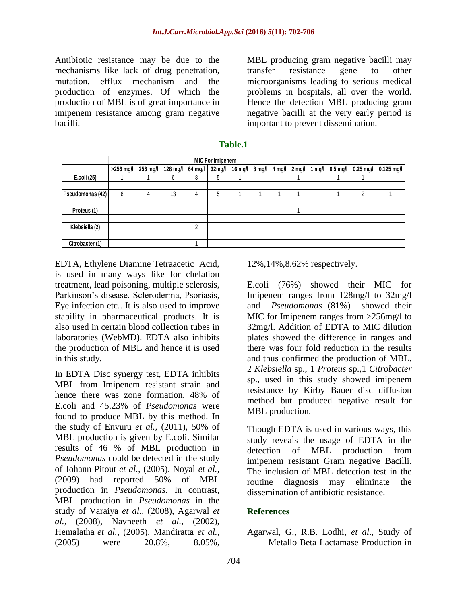Antibiotic resistance may be due to the mechanisms like lack of drug penetration, mutation, efflux mechanism and the production of enzymes. Of which the production of MBL is of great importance in imipenem resistance among gram negative bacilli.

MBL producing gram negative bacilli may transfer resistance gene to other microorganisms leading to serious medical problems in hospitals, all over the world. Hence the detection MBL producing gram negative bacilli at the very early period is important to prevent dissemination.

| Table.1          |           |          |                         |         |        |                                             |  |  |  |  |            |                    |              |
|------------------|-----------|----------|-------------------------|---------|--------|---------------------------------------------|--|--|--|--|------------|--------------------|--------------|
|                  |           | 256 mg/l | <b>MIC For Imipenem</b> |         |        |                                             |  |  |  |  |            |                    |              |
|                  | >256 mg/l |          | 128 $mg/l$              | 64 mg/l | 32mg/l | 16 mg/l   8 mg/l   4 mg/l   2 mg/l   1 mg/l |  |  |  |  | $0.5$ mg/l | $\sqrt{0.25}$ mg/l | $0.125$ mg/l |
| E.coli (25)      |           |          | 6                       | 8       | 5      |                                             |  |  |  |  |            |                    |              |
| Pseudomonas (42) | 8         | 4        | 13                      | 4       | 5      |                                             |  |  |  |  |            | 2                  |              |
| Proteus (1)      |           |          |                         |         |        |                                             |  |  |  |  |            |                    |              |
| Klebsiella (2)   |           |          |                         | 2       |        |                                             |  |  |  |  |            |                    |              |
| Citrobacter (1)  |           |          |                         |         |        |                                             |  |  |  |  |            |                    |              |

**Table.1**

EDTA, Ethylene Diamine Tetraacetic Acid, is used in many ways like for chelation treatment, lead poisoning, multiple sclerosis, Parkinson's disease. Scleroderma, Psoriasis, Eye infection etc.. It is also used to improve stability in pharmaceutical products. It is also used in certain blood collection tubes in laboratories (WebMD). EDTA also inhibits the production of MBL and hence it is used in this study.

In EDTA Disc synergy test, EDTA inhibits MBL from Imipenem resistant strain and hence there was zone formation. 48% of E.coli and 45.23% of *Pseudomonas* were found to produce MBL by this method. In the study of Envuru *et al.,* (2011), 50% of MBL production is given by E.coli. Similar results of 46 % of MBL production in *Pseudomonas* could be detected in the study of Johann Pitout *et al.,* (2005). Noyal *et al.,* (2009) had reported 50% of MBL production in *Pseudomonas*. In contrast, MBL production in *Pseudomonas* in the study of Varaiya *et al.,* (2008), Agarwal *et al.,* (2008), Navneeth *et al.,* (2002), Hemalatha *et al.,* (2005), Mandiratta *et al.,*  (2005) were 20.8%, 8.05%,

12%,14%,8.62% respectively.

E.coli (76%) showed their MIC for Imipenem ranges from 128mg/l to 32mg/l and *Pseudomonas* (81%) showed their MIC for Imipenem ranges from >256mg/l to 32mg/l. Addition of EDTA to MIC dilution plates showed the difference in ranges and there was four fold reduction in the results and thus confirmed the production of MBL. 2 *Klebsiella* sp., 1 *Proteus* sp.,1 *Citrobacter* sp., used in this study showed imipenem resistance by Kirby Bauer disc diffusion method but produced negative result for MBL production.

Though EDTA is used in various ways, this study reveals the usage of EDTA in the detection of MBL production from imipenem resistant Gram negative Bacilli. The inclusion of MBL detection test in the routine diagnosis may eliminate the dissemination of antibiotic resistance.

# **References**

Agarwal, G., R.B. Lodhi, *et al*., Study of Metallo Beta Lactamase Production in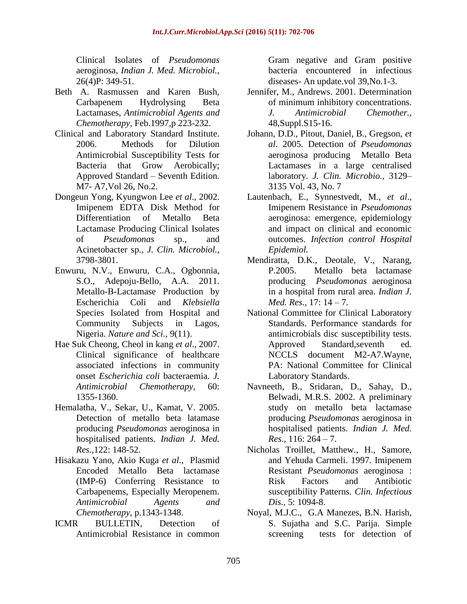Clinical Isolates of *Pseudomonas* aeroginosa, *Indian J. Med. Microbiol.,*  26(4)P: 349-51.

- Beth A. Rasmussen and Karen Bush, Carbapenem Hydrolysing Beta Lactamases, *Antimicrobial Agents and Chemotherapy,* Feb.1997,p 223-232.
- Clinical and Laboratory Standard Institute. 2006. Methods for Dilution Antimicrobial Susceptibility Tests for Bacteria that Grow Aerobically; Approved Standard – Seventh Edition. M7- A7,Vol 26, No.2.
- Dongeun Yong, Kyungwon Lee *et al*., 2002. Imipenem EDTA Disk Method for Differentiation of Metallo Beta Lactamase Producing Clinical Isolates of *Pseudomonas* sp., and Acinetobacter sp., *J. Clin. Microbiol.,*  3798-3801.
- Enwuru, N.V., Enwuru, C.A., Ogbonnia, S.O., Adepoju-Bello, A.A. 2011. Metallo-Β-Lactamase Production by Escherichia Coli and *Klebsiella* Species Isolated from Hospital and Community Subjects in Lagos, Nigeria. *Nature and Sci.,* 9(11).
- Hae Suk Cheong, Cheol in kang *et al*., 2007. Clinical significance of healthcare associated infections in community onset *Escherichia coli* bacteraemia. *J. Antimicrobial Chemotherapy,* 60: 1355-1360.
- Hemalatha, V., Sekar, U., Kamat, V. 2005. Detection of metallo beta latamase producing *Pseudomonas* aeroginosa in hospitalised patients. *Indian J. Med. Res.,*122: 148-52.
- Hisakazu Yano, Akio Kuga *et al*., Plasmid Encoded Metallo Beta lactamase (IMP-6) Conferring Resistance to Carbapenems, Especially Meropenem. *Antimicrobial Agents and Chemotherapy,* p.1343-1348.
- ICMR BULLETIN, Detection of Antimicrobial Resistance in common

Gram negative and Gram positive bacteria encountered in infectious diseases- An update.vol 39,No.1-3.

- Jennifer, M., Andrews. 2001. Determination of minimum inhibitory concentrations. *J. Antimicrobial Chemother.,* 48,Suppl.S15-16.
- Johann, D.D., Pitout, Daniel, B., Gregson, *et al*. 2005. Detection of *Pseudomonas* aeroginosa producing Metallo Beta Lactamases in a large centralised laboratory. *J. Clin. Microbio.,* 3129– 3135 Vol. 43, No. 7
- Lautenbach, E., Synnestvedt, M., *et al*., Imipenem Resistance in *Pseudomonas* aeroginosa: emergence, epidemiology and impact on clinical and economic outcomes. *Infection control Hospital Epidemiol.*
- Mendiratta, D.K., Deotale, V., Narang, P.2005. Metallo beta lactamase producing *Pseudomonas* aeroginosa in a hospital from rural area. *Indian J. Med. Res.,* 17: 14 – 7.
- National Committee for Clinical Laboratory Standards. Performance standards for antimicrobials disc susceptibility tests. Approved Standard,seventh ed. NCCLS document M2-A7.Wayne, PA: National Committee for Clinical Laboratory Standards.
- Navneeth, B., Sridaran, D., Sahay, D., Belwadi, M.R.S. 2002. A preliminary study on metallo beta lactamase producing *Pseudomonas* aeroginosa in hospitalised patients. *Indian J. Med. Res*., 116: 264 – 7.
- Nicholas Troillet, Matthew., H., Samore, and Yehuda Carmeli. 1997. Imipenem Resistant *Pseudomonas* aeroginosa : Risk Factors and Antibiotic susceptibility Patterns. *Clin. Infectious Dis.,* 5: 1094-8.
- Noyal, M.J.C., G.A Manezes, B.N. Harish, S. Sujatha and S.C. Parija. Simple screening tests for detection of